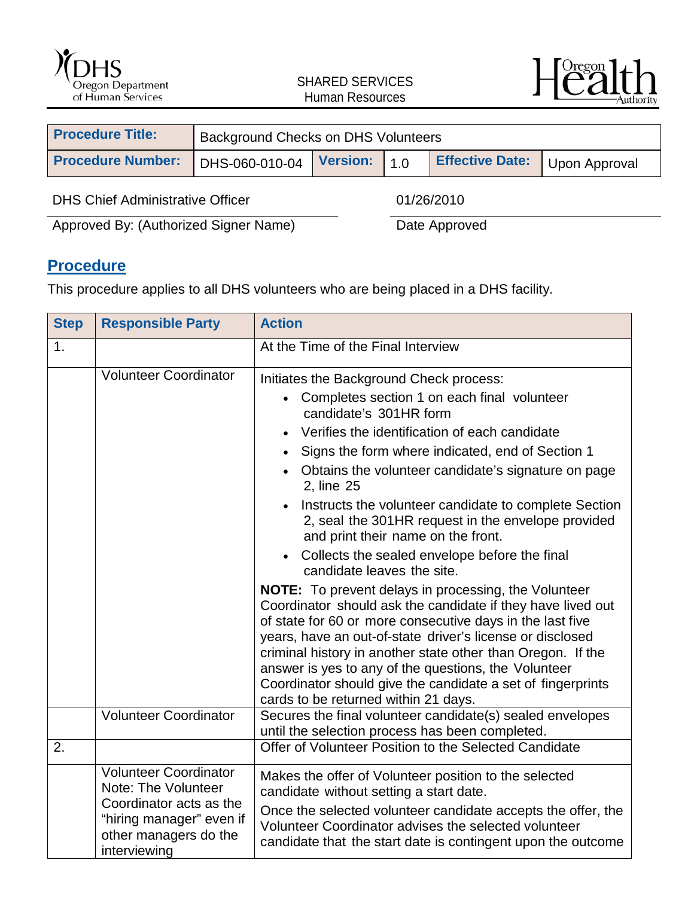



| <b>Procedure Title:</b>                 | Background Checks on DHS Volunteers |                 |            |                        |               |
|-----------------------------------------|-------------------------------------|-----------------|------------|------------------------|---------------|
| <b>Procedure Number:</b>                | DHS-060-010-04                      | <b>Version:</b> | 110        | <b>Effective Date:</b> | Upon Approval |
| <b>DHS Chief Administrative Officer</b> |                                     |                 | 01/26/2010 |                        |               |

Approved By: (Authorized Signer Name) Date Approved

# **Procedure**

This procedure applies to all DHS volunteers who are being placed in a DHS facility.

| <b>Step</b> | <b>Responsible Party</b>                                                                                                                            | <b>Action</b>                                                                                                                                                                                                                                                                                                                                                                                                                                                                                                                                                                                                                                                                                                                                                                                                                                                                                                                                                                                                                                                 |  |
|-------------|-----------------------------------------------------------------------------------------------------------------------------------------------------|---------------------------------------------------------------------------------------------------------------------------------------------------------------------------------------------------------------------------------------------------------------------------------------------------------------------------------------------------------------------------------------------------------------------------------------------------------------------------------------------------------------------------------------------------------------------------------------------------------------------------------------------------------------------------------------------------------------------------------------------------------------------------------------------------------------------------------------------------------------------------------------------------------------------------------------------------------------------------------------------------------------------------------------------------------------|--|
| 1.          |                                                                                                                                                     | At the Time of the Final Interview                                                                                                                                                                                                                                                                                                                                                                                                                                                                                                                                                                                                                                                                                                                                                                                                                                                                                                                                                                                                                            |  |
|             | <b>Volunteer Coordinator</b>                                                                                                                        | Initiates the Background Check process:<br>• Completes section 1 on each final volunteer<br>candidate's 301HR form<br>Verifies the identification of each candidate<br>$\bullet$<br>Signs the form where indicated, end of Section 1<br>Obtains the volunteer candidate's signature on page<br>2, line 25<br>Instructs the volunteer candidate to complete Section<br>$\bullet$<br>2, seal the 301HR request in the envelope provided<br>and print their name on the front.<br>Collects the sealed envelope before the final<br>$\bullet$<br>candidate leaves the site.<br><b>NOTE:</b> To prevent delays in processing, the Volunteer<br>Coordinator should ask the candidate if they have lived out<br>of state for 60 or more consecutive days in the last five<br>years, have an out-of-state driver's license or disclosed<br>criminal history in another state other than Oregon. If the<br>answer is yes to any of the questions, the Volunteer<br>Coordinator should give the candidate a set of fingerprints<br>cards to be returned within 21 days. |  |
|             | <b>Volunteer Coordinator</b>                                                                                                                        | Secures the final volunteer candidate(s) sealed envelopes<br>until the selection process has been completed.                                                                                                                                                                                                                                                                                                                                                                                                                                                                                                                                                                                                                                                                                                                                                                                                                                                                                                                                                  |  |
| 2.          |                                                                                                                                                     | Offer of Volunteer Position to the Selected Candidate                                                                                                                                                                                                                                                                                                                                                                                                                                                                                                                                                                                                                                                                                                                                                                                                                                                                                                                                                                                                         |  |
|             | <b>Volunteer Coordinator</b><br>Note: The Volunteer<br>Coordinator acts as the<br>"hiring manager" even if<br>other managers do the<br>interviewing | Makes the offer of Volunteer position to the selected<br>candidate without setting a start date.<br>Once the selected volunteer candidate accepts the offer, the<br>Volunteer Coordinator advises the selected volunteer<br>candidate that the start date is contingent upon the outcome                                                                                                                                                                                                                                                                                                                                                                                                                                                                                                                                                                                                                                                                                                                                                                      |  |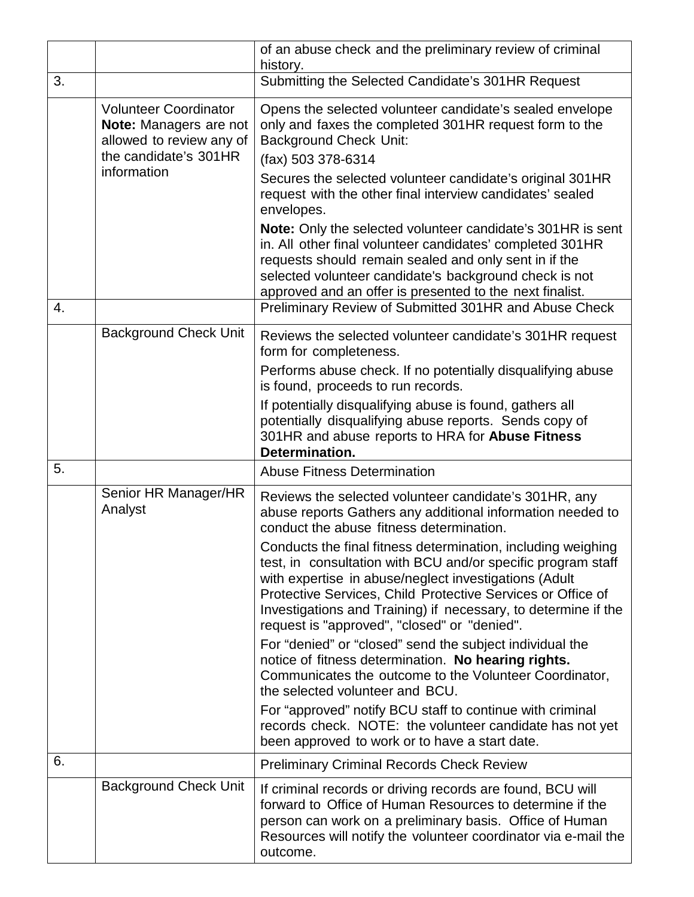|    |                                                                                                                            | of an abuse check and the preliminary review of criminal<br>history.                                                                                                                                                                                                                                                                                                   |
|----|----------------------------------------------------------------------------------------------------------------------------|------------------------------------------------------------------------------------------------------------------------------------------------------------------------------------------------------------------------------------------------------------------------------------------------------------------------------------------------------------------------|
| 3. |                                                                                                                            | Submitting the Selected Candidate's 301HR Request                                                                                                                                                                                                                                                                                                                      |
|    | <b>Volunteer Coordinator</b><br>Note: Managers are not<br>allowed to review any of<br>the candidate's 301HR<br>information | Opens the selected volunteer candidate's sealed envelope<br>only and faxes the completed 301HR request form to the<br><b>Background Check Unit:</b><br>(fax) 503 378-6314<br>Secures the selected volunteer candidate's original 301HR<br>request with the other final interview candidates' sealed<br>envelopes.                                                      |
|    |                                                                                                                            | Note: Only the selected volunteer candidate's 301HR is sent<br>in. All other final volunteer candidates' completed 301HR<br>requests should remain sealed and only sent in if the<br>selected volunteer candidate's background check is not<br>approved and an offer is presented to the next finalist.                                                                |
| 4. |                                                                                                                            | Preliminary Review of Submitted 301HR and Abuse Check                                                                                                                                                                                                                                                                                                                  |
|    | <b>Background Check Unit</b>                                                                                               | Reviews the selected volunteer candidate's 301HR request<br>form for completeness.                                                                                                                                                                                                                                                                                     |
|    |                                                                                                                            | Performs abuse check. If no potentially disqualifying abuse<br>is found, proceeds to run records.                                                                                                                                                                                                                                                                      |
|    |                                                                                                                            | If potentially disqualifying abuse is found, gathers all<br>potentially disqualifying abuse reports. Sends copy of<br>301HR and abuse reports to HRA for Abuse Fitness<br>Determination.                                                                                                                                                                               |
| 5. |                                                                                                                            | <b>Abuse Fitness Determination</b>                                                                                                                                                                                                                                                                                                                                     |
|    | Senior HR Manager/HR<br>Analyst                                                                                            | Reviews the selected volunteer candidate's 301HR, any<br>abuse reports Gathers any additional information needed to<br>conduct the abuse fitness determination.                                                                                                                                                                                                        |
|    |                                                                                                                            | Conducts the final fitness determination, including weighing<br>test, in consultation with BCU and/or specific program staff<br>with expertise in abuse/neglect investigations (Adult<br>Protective Services, Child Protective Services or Office of<br>Investigations and Training) if necessary, to determine if the<br>request is "approved", "closed" or "denied". |
|    |                                                                                                                            | For "denied" or "closed" send the subject individual the<br>notice of fitness determination. No hearing rights.<br>Communicates the outcome to the Volunteer Coordinator,<br>the selected volunteer and BCU.                                                                                                                                                           |
|    |                                                                                                                            | For "approved" notify BCU staff to continue with criminal<br>records check. NOTE: the volunteer candidate has not yet<br>been approved to work or to have a start date.                                                                                                                                                                                                |
| 6. |                                                                                                                            | <b>Preliminary Criminal Records Check Review</b>                                                                                                                                                                                                                                                                                                                       |
|    | <b>Background Check Unit</b>                                                                                               | If criminal records or driving records are found, BCU will<br>forward to Office of Human Resources to determine if the<br>person can work on a preliminary basis. Office of Human<br>Resources will notify the volunteer coordinator via e-mail the<br>outcome.                                                                                                        |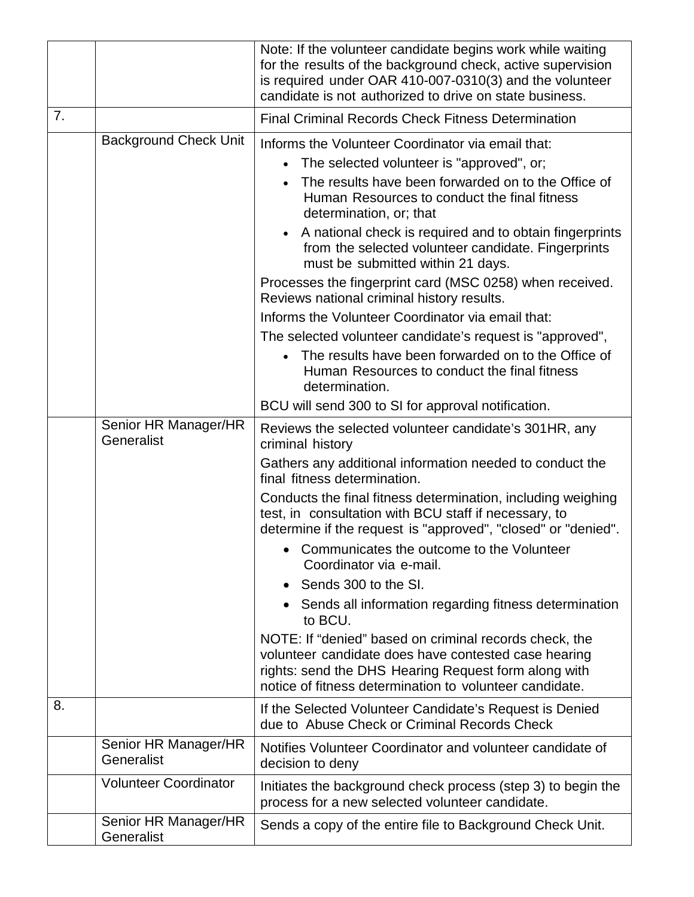|    |                                    | Note: If the volunteer candidate begins work while waiting<br>for the results of the background check, active supervision<br>is required under OAR 410-007-0310(3) and the volunteer<br>candidate is not authorized to drive on state business.                                                                                                                                                                                                                                                                                                                                                                                                                                                                                                                          |
|----|------------------------------------|--------------------------------------------------------------------------------------------------------------------------------------------------------------------------------------------------------------------------------------------------------------------------------------------------------------------------------------------------------------------------------------------------------------------------------------------------------------------------------------------------------------------------------------------------------------------------------------------------------------------------------------------------------------------------------------------------------------------------------------------------------------------------|
| 7. |                                    | <b>Final Criminal Records Check Fitness Determination</b>                                                                                                                                                                                                                                                                                                                                                                                                                                                                                                                                                                                                                                                                                                                |
|    | <b>Background Check Unit</b>       | Informs the Volunteer Coordinator via email that:<br>The selected volunteer is "approved", or;<br>The results have been forwarded on to the Office of<br>Human Resources to conduct the final fitness<br>determination, or; that<br>A national check is required and to obtain fingerprints<br>$\bullet$<br>from the selected volunteer candidate. Fingerprints<br>must be submitted within 21 days.<br>Processes the fingerprint card (MSC 0258) when received.<br>Reviews national criminal history results.<br>Informs the Volunteer Coordinator via email that:<br>The selected volunteer candidate's request is "approved",                                                                                                                                         |
|    |                                    | The results have been forwarded on to the Office of<br>Human Resources to conduct the final fitness<br>determination.<br>BCU will send 300 to SI for approval notification.                                                                                                                                                                                                                                                                                                                                                                                                                                                                                                                                                                                              |
|    | Senior HR Manager/HR<br>Generalist | Reviews the selected volunteer candidate's 301HR, any<br>criminal history<br>Gathers any additional information needed to conduct the<br>final fitness determination.<br>Conducts the final fitness determination, including weighing<br>test, in consultation with BCU staff if necessary, to<br>determine if the request is "approved", "closed" or "denied".<br>Communicates the outcome to the Volunteer<br>Coordinator via e-mail.<br>Sends 300 to the SI.<br>Sends all information regarding fitness determination<br>to BCU.<br>NOTE: If "denied" based on criminal records check, the<br>volunteer candidate does have contested case hearing<br>rights: send the DHS Hearing Request form along with<br>notice of fitness determination to volunteer candidate. |
| 8. |                                    | If the Selected Volunteer Candidate's Request is Denied<br>due to Abuse Check or Criminal Records Check                                                                                                                                                                                                                                                                                                                                                                                                                                                                                                                                                                                                                                                                  |
|    | Senior HR Manager/HR<br>Generalist | Notifies Volunteer Coordinator and volunteer candidate of<br>decision to deny                                                                                                                                                                                                                                                                                                                                                                                                                                                                                                                                                                                                                                                                                            |
|    | <b>Volunteer Coordinator</b>       | Initiates the background check process (step 3) to begin the<br>process for a new selected volunteer candidate.                                                                                                                                                                                                                                                                                                                                                                                                                                                                                                                                                                                                                                                          |
|    | Senior HR Manager/HR<br>Generalist | Sends a copy of the entire file to Background Check Unit.                                                                                                                                                                                                                                                                                                                                                                                                                                                                                                                                                                                                                                                                                                                |